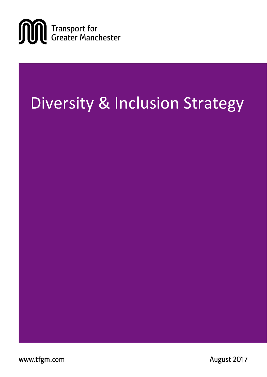

# Diversity & Inclusion Strategy

www.tfgm.com

August 2017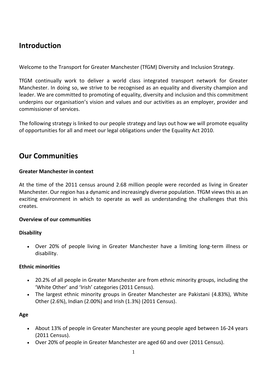### **Introduction**

Welcome to the Transport for Greater Manchester (TfGM) Diversity and Inclusion Strategy.

TfGM continually work to deliver a world class integrated transport network for Greater Manchester. In doing so, we strive to be recognised as an equality and diversity champion and leader. We are committed to promoting of equality, diversity and inclusion and this commitment underpins our organisation's vision and values and our activities as an employer, provider and commissioner of services.

The following strategy is linked to our people strategy and lays out how we will promote equality of opportunities for all and meet our legal obligations under the Equality Act 2010.

### **Our Communities**

#### **Greater Manchester in context**

At the time of the 2011 census around 2.68 million people were recorded as living in Greater Manchester. Our region has a dynamic and increasingly diverse population. TfGM views this as an exciting environment in which to operate as well as understanding the challenges that this creates.

#### **Overview of our communities**

#### **Disability**

 Over 20% of people living in Greater Manchester have a limiting long-term illness or disability.

#### **Ethnic minorities**

- 20.2% of all people in Greater Manchester are from ethnic minority groups, including the 'White Other' and 'Irish' categories (2011 Census).
- The largest ethnic minority groups in Greater Manchester are Pakistani (4.83%), White Other (2.6%), Indian (2.00%) and Irish (1.3%) (2011 Census).

#### **Age**

- About 13% of people in Greater Manchester are young people aged between 16-24 years (2011 Census).
- Over 20% of people in Greater Manchester are aged 60 and over (2011 Census).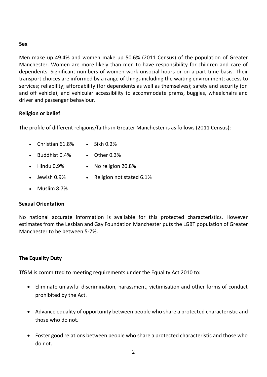#### **Sex**

Men make up 49.4% and women make up 50.6% (2011 Census) of the population of Greater Manchester. Women are more likely than men to have responsibility for children and care of dependents. Significant numbers of women work unsocial hours or on a part-time basis. Their transport choices are informed by a range of things including the waiting environment; access to services; reliability; affordability (for dependents as well as themselves); safety and security (on and off vehicle); and vehicular accessibility to accommodate prams, buggies, wheelchairs and driver and passenger behaviour.

#### **Religion or belief**

The profile of different religions/faiths in Greater Manchester is as follows (2011 Census):

- $\bullet$  Christian 61.8%  $\bullet$  Sikh 0.2%
- Buddhist 0.4% Other 0.3%
- Hindu 0.9% No religion 20.8%
- 
- 
- Jewish 0.9% Religion not stated 6.1%
- Muslim 8.7%

#### **Sexual Orientation**

No national accurate information is available for this protected characteristics. However estimates from the Lesbian and Gay Foundation Manchester puts the LGBT population of Greater Manchester to be between 5-7%.

#### **The Equality Duty**

TfGM is committed to meeting requirements under the Equality Act 2010 to:

- Eliminate unlawful discrimination, harassment, victimisation and other forms of conduct prohibited by the Act.
- Advance equality of opportunity between people who share a protected characteristic and those who do not.
- Foster good relations between people who share a protected characteristic and those who do not.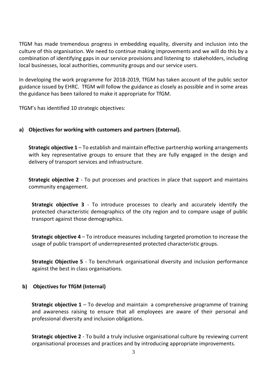TfGM has made tremendous progress in embedding equality, diversity and inclusion into the culture of this organisation. We need to continue making improvements and we will do this by a combination of identifying gaps in our service provisions and listening to stakeholders, including local businesses, local authorities, community groups and our service users.

In developing the work programme for 2018-2019, TfGM has taken account of the public sector guidance issued by EHRC. TfGM will follow the guidance as closely as possible and in some areas the guidance has been tailored to make it appropriate for TfGM.

TfGM's has identified 10 strategic objectives:

#### **a) Objectives for working with customers and partners (External).**

**Strategic objective 1** – To establish and maintain effective partnership working arrangements with key representative groups to ensure that they are fully engaged in the design and delivery of transport services and infrastructure.

**Strategic objective 2** - To put processes and practices in place that support and maintains community engagement.

**Strategic objective 3** - To introduce processes to clearly and accurately identify the protected characteristic demographics of the city region and to compare usage of public transport against those demographics.

**Strategic objective 4** – To introduce measures including targeted promotion to increase the usage of public transport of underrepresented protected characteristic groups.

**Strategic Objective 5** - To benchmark organisational diversity and inclusion performance against the best in class organisations.

#### **b) Objectives for TfGM (Internal)**

**Strategic objective 1** – To develop and maintain a comprehensive programme of training and awareness raising to ensure that all employees are aware of their personal and professional diversity and inclusion obligations.

**Strategic objective 2** - To build a truly inclusive organisational culture by reviewing current organisational processes and practices and by introducing appropriate improvements.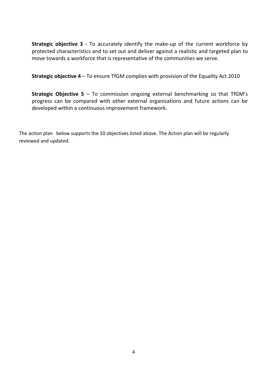**Strategic objective 3** - To accurately identify the make-up of the current workforce by protected characteristics and to set out and deliver against a realistic and targeted plan to move towards a workforce that is representative of the communities we serve.

**Strategic objective 4** – To ensure TfGM complies with provision of the Equality Act 2010

**Strategic Objective 5** – To commission ongoing external benchmarking so that TfGM's progress can be compared with other external organisations and future actions can be developed within a continuous improvement framework.

The action plan below supports the 10 objectives listed above. The Action plan will be regularly reviewed and updated.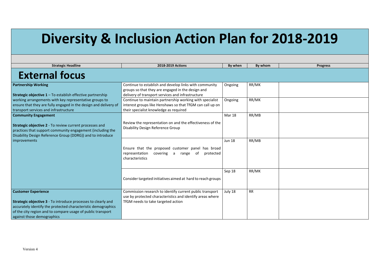# **Diversity & Inclusion Action Plan for 2018-2019**

| <b>Strategic Headline</b>                                                                                                                                                                                                                                        | 2018-2019 Actions                                                                                                                                                | By when       | By whom   | <b>Progress</b> |
|------------------------------------------------------------------------------------------------------------------------------------------------------------------------------------------------------------------------------------------------------------------|------------------------------------------------------------------------------------------------------------------------------------------------------------------|---------------|-----------|-----------------|
| <b>External focus</b>                                                                                                                                                                                                                                            |                                                                                                                                                                  |               |           |                 |
| <b>Partnership Working</b><br><b>Strategic objective 1 - To establish effective partnership</b>                                                                                                                                                                  | Continue to establish and develop links with community<br>groups so that they are engaged in the design and<br>delivery of transport services and infrastructure | Ongoing       | RR/MK     |                 |
| working arrangements with key representative groups to<br>ensure that they are fully engaged in the design and delivery of<br>transport services and infrastructure                                                                                              | Continue to maintain partnership working with specialist<br>interest groups like Henshaws so that TfGM can call up on<br>their specialist knowledge as required  | Ongoing       | RR/MK     |                 |
| <b>Community Engagement</b><br>Strategic objective 2 - To review current processes and<br>practices that support community engagement (including the<br>Disability Design Reference Group (DDRG)) and to introduce                                               | Review the representation on and the effectiveness of the<br><b>Disability Design Reference Group</b>                                                            | <b>Mar 18</b> | RR/MB     |                 |
| improvements                                                                                                                                                                                                                                                     | Ensure that the proposed customer panel has broad<br>representation<br>covering a range<br>of<br>protected<br>characteristics                                    | <b>Jun 18</b> | RR/MB     |                 |
|                                                                                                                                                                                                                                                                  | Consider targeted initiatives aimed at hard to reach groups                                                                                                      | Sep 18        | RR/MK     |                 |
| <b>Customer Experience</b><br><b>Strategic objective 3</b> - To introduce processes to clearly and<br>accurately identify the protected characteristic demographics<br>of the city region and to compare usage of public transport<br>against those demographics | Commission research to identify current public transport<br>use by protected characteristics and identify areas where<br>TfGM needs to take targeted action      | July 18       | <b>RR</b> |                 |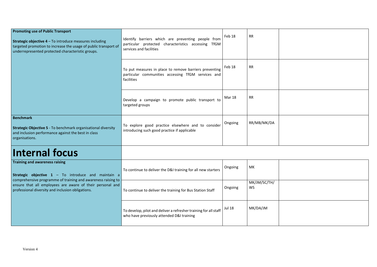

| Identify barriers which are preventing people from<br>particular protected characteristics accessing TfGM<br>services and facilities | Feb 18  | <b>RR</b>   |  |
|--------------------------------------------------------------------------------------------------------------------------------------|---------|-------------|--|
| To put measures in place to remove barriers preventing<br>particular communities accessing TfGM services and<br>facilities           | Feb 18  | <b>RR</b>   |  |
| Develop a campaign to promote public transport to<br>targeted groups                                                                 | Mar 18  | <b>RR</b>   |  |
| To explore good practice elsewhere and to consider<br>introducing such good practice if applicable                                   | Ongoing | RR/MB/MK/DA |  |
|                                                                                                                                      |         |             |  |

## **Internal focus**

| Training and awareness raising<br><b>Strategic objective 1</b> – To introduce and maintain a<br>comprehensive programme of training and awareness raising to<br>ensure that all employees are aware of their personal and<br>professional diversity and inclusion obligations. | To continue to deliver the D&I training for all new starters                                                  | Ongoing       | MK                        |  |
|--------------------------------------------------------------------------------------------------------------------------------------------------------------------------------------------------------------------------------------------------------------------------------|---------------------------------------------------------------------------------------------------------------|---------------|---------------------------|--|
|                                                                                                                                                                                                                                                                                | To continue to deliver the training for Bus Station Staff                                                     | Ongoing       | MK/JM/SC/TH/<br><b>WS</b> |  |
|                                                                                                                                                                                                                                                                                | To develop, pilot and deliver a refresher training for all staff<br>who have previously attended D&I training | <b>Jul 18</b> | MK/DA/JM                  |  |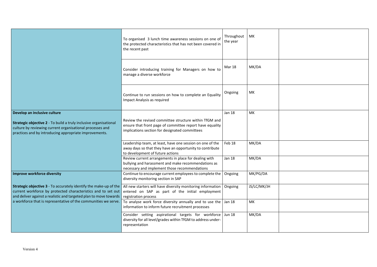|                                                                                                                                                                                                                          | To organised 3 lunch time awareness sessions on one of<br>the protected characteristics that has not been covered in<br>the recent past                              | Throughout<br>the year | МK          |
|--------------------------------------------------------------------------------------------------------------------------------------------------------------------------------------------------------------------------|----------------------------------------------------------------------------------------------------------------------------------------------------------------------|------------------------|-------------|
|                                                                                                                                                                                                                          | Consider introducing training for Managers on how to<br>manage a diverse workforce                                                                                   | <b>Mar 18</b>          | MK/DA       |
|                                                                                                                                                                                                                          | Continue to run sessions on how to complete an Equality<br>Impact Analysis as required                                                                               | Ongoing                | <b>MK</b>   |
| Develop an inclusive culture<br>Strategic objective 2 - To build a truly inclusive organisational<br>culture by reviewing current organisational processes and<br>practices and by introducing appropriate improvements. | Review the revised committee structure within TfGM and<br>ensure that front page of committee report have equality<br>implications section for designated committees | <b>Jan 18</b>          | <b>MK</b>   |
|                                                                                                                                                                                                                          | Leadership team, at least, have one session on one of the<br>away days so that they have an opportunity to contribute<br>to development of future actions            | Feb 18                 | MK/DA       |
|                                                                                                                                                                                                                          | Review current arrangements in place for dealing with<br>bullying and harassment and make recommendations as<br>necessary and implement those recommendations        | <b>Jan 18</b>          | MK/DA       |
| <b>Improve workforce diversity</b>                                                                                                                                                                                       | Continue to encourage current employees to complete the<br>diversity monitoring section in SAP                                                                       | Ongoing                | MK/PG/DA    |
| <b>Strategic objective 3</b> - To accurately identify the make-up of the<br>current workforce by protected characteristics and to set out<br>and deliver against a realistic and targeted plan to move towards           | All new starters will have diversity monitoring information<br>entered on SAP as part of the initial employment<br>registration process                              | Ongoing                | JS/LC/MK/JH |
| a workforce that is representative of the communities we serve.                                                                                                                                                          | To analyse work force diversity annually and to use the<br>information to inform future recruitment processes                                                        | <b>Jan 18</b>          | MK          |
|                                                                                                                                                                                                                          | Consider setting aspirational targets for workforce<br>diversity for all level/grades within TfGM to address under-<br>representation                                | <b>Jun 18</b>          | MK/DA       |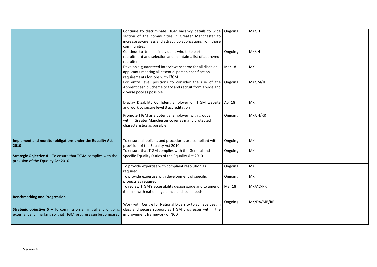|                                                                                                                                                                           | Continue to discriminate TfGM vacancy details to wide<br>section of the communities in Greater Manchester to<br>increase awareness and attract job applications from those<br>communities | Ongoing       | MK/JH       |  |
|---------------------------------------------------------------------------------------------------------------------------------------------------------------------------|-------------------------------------------------------------------------------------------------------------------------------------------------------------------------------------------|---------------|-------------|--|
|                                                                                                                                                                           | Continue to train all individuals who take part in<br>recruitment and selection and maintain a list of approved<br>recruiters                                                             | Ongoing       | MK/JH       |  |
|                                                                                                                                                                           | Develop a guaranteed interviews scheme for all disabled<br>applicants meeting all essential person specification<br>requirements for jobs with TfGM                                       | <b>Mar 18</b> | <b>MK</b>   |  |
|                                                                                                                                                                           | For entry level positions to consider the use of the<br>Apprenticeship Scheme to try and recruit from a wide and<br>diverse pool as possible.                                             | Ongoing       | MK/JM/JH    |  |
|                                                                                                                                                                           | Display Disability Confident Employer on TfGM website<br>and work to secure level 3 accreditation                                                                                         | Apr 18        | MK          |  |
|                                                                                                                                                                           | Promote TfGM as a potential employer with groups<br>within Greater Manchester cover as many protected<br>characteristics as possible                                                      | Ongoing       | MK/JH/RR    |  |
| Implement and monitor obligations under the Equality Act<br>2010                                                                                                          | To ensure all policies and procedures are compliant with<br>provision of the Equality Act 2010                                                                                            | Ongoing       | MK          |  |
| <b>Strategic Objective 4 - To ensure that TfGM complies with the</b><br>provision of the Equality Act 2010                                                                | To ensure that TfGM complies with the General and<br>Specific Equality Duties of the Equality Act 2010                                                                                    | Ongoing       | MK          |  |
|                                                                                                                                                                           | To provide expertise with complaint resolution as<br>required                                                                                                                             | Ongoing       | MK          |  |
|                                                                                                                                                                           | To provide expertise with development of specific<br>projects as required                                                                                                                 | Ongoing       | MK          |  |
|                                                                                                                                                                           | To review TfGM's accessibility design guide and to amend<br>it in line with national guidance and local needs                                                                             | <b>Mar 18</b> | MK/AC/RR    |  |
| <b>Benchmarking and Progression</b><br><b>Strategic objective 5 - To commission an initial and ongoing</b><br>external benchmarking so that TfGM progress can be compared | Work with Centre for National Diversity to achieve best in<br>class and secure support as TfGM progresses within the<br>improvement framework of NCD                                      | Ongoing       | MK/DA/MB/RR |  |
|                                                                                                                                                                           |                                                                                                                                                                                           |               |             |  |